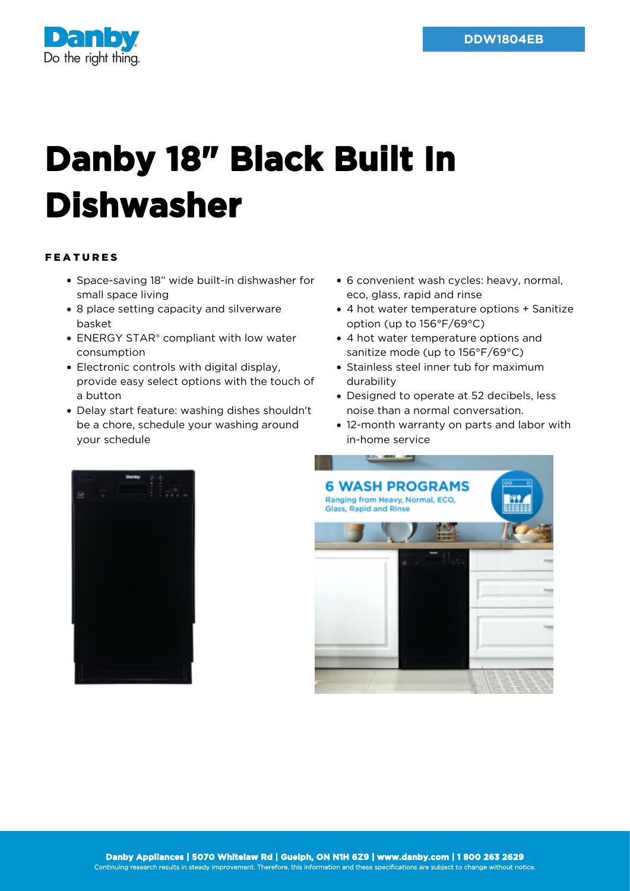

## **Danby 18" Black Built In Dishwasher**

## FEATURES

- Space-saving 18" wide built-in dishwasher for small space living
- 8 place setting capacity and silverware basket
- ENERGY STAR<sup>®</sup> compliant with low water consumption
- Electronic controls with digital display, provide easy select options with the touch of a button
- Delay start feature: washing dishes shouldn't be a chore, schedule your washing around your schedule
- 6 convenient wash cycles: heavy, normal, eco, glass, rapid and rinse
- 4 hot water temperature options + Sanitize option (up to 156°F/69°C)
- 4 hot water temperature options and sanitize mode (up to 156°F/69°C)
- Stainless steel inner tub for maximum durability
- Designed to operate at 52 decibels, less noise than a normal conversation.
- 12-month warranty on parts and labor with in-home service